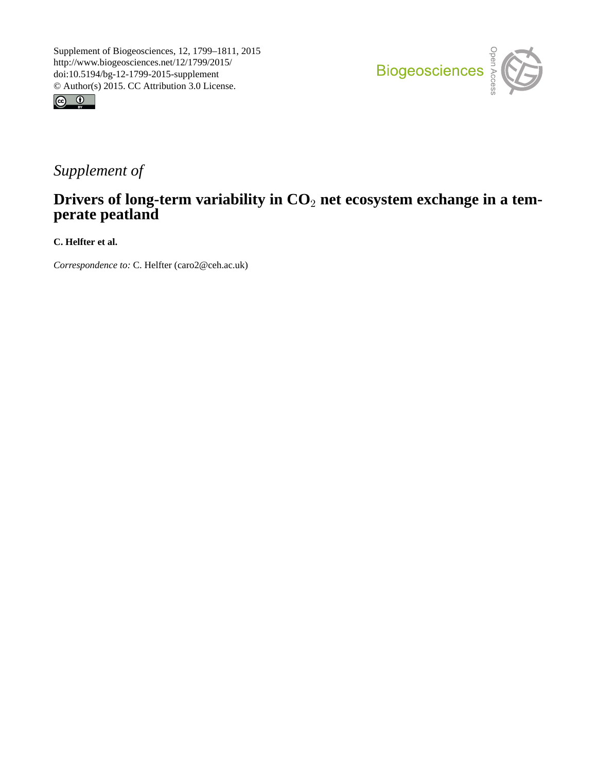



## *Supplement of*

## **Drivers of long-term variability in CO**<sup>2</sup> **net ecosystem exchange in a temperate peatland**

**C. Helfter et al.**

*Correspondence to:* C. Helfter (caro2@ceh.ac.uk)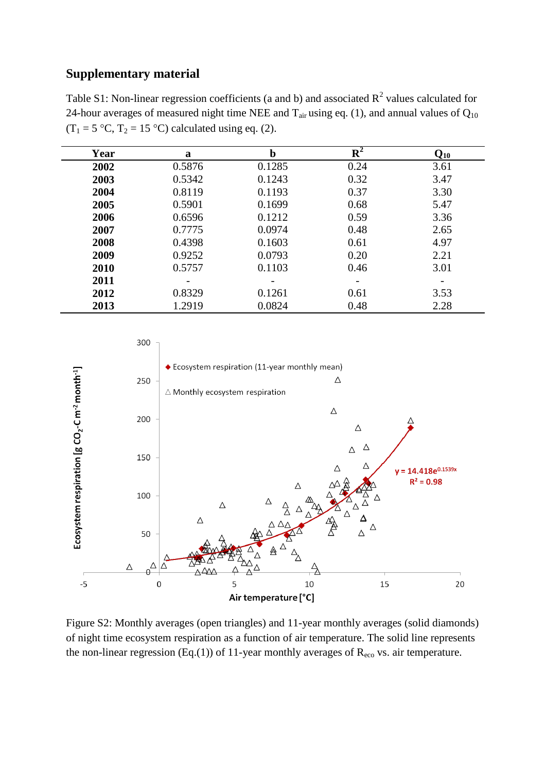## **Supplementary material**

Table S1: Non-linear regression coefficients (a and b) and associated  $R^2$  values calculated for 24-hour averages of measured night time NEE and  $T_{air}$  using eq. (1), and annual values of  $Q_{10}$  $(T_1 = 5 \text{ °C}, T_2 = 15 \text{ °C})$  calculated using eq. (2).

| Year | a                        | b      | ${\bf R}^2$ | $\mathbf{Q}_{\mathbf{10}}$ |
|------|--------------------------|--------|-------------|----------------------------|
| 2002 | 0.5876                   | 0.1285 | 0.24        | 3.61                       |
| 2003 | 0.5342                   | 0.1243 | 0.32        | 3.47                       |
| 2004 | 0.8119                   | 0.1193 | 0.37        | 3.30                       |
| 2005 | 0.5901                   | 0.1699 | 0.68        | 5.47                       |
| 2006 | 0.6596                   | 0.1212 | 0.59        | 3.36                       |
| 2007 | 0.7775                   | 0.0974 | 0.48        | 2.65                       |
| 2008 | 0.4398                   | 0.1603 | 0.61        | 4.97                       |
| 2009 | 0.9252                   | 0.0793 | 0.20        | 2.21                       |
| 2010 | 0.5757                   | 0.1103 | 0.46        | 3.01                       |
| 2011 | $\overline{\phantom{a}}$ |        |             |                            |
| 2012 | 0.8329                   | 0.1261 | 0.61        | 3.53                       |
| 2013 | 1.2919                   | 0.0824 | 0.48        | 2.28                       |



Figure S2: Monthly averages (open triangles) and 11-year monthly averages (solid diamonds) of night time ecosystem respiration as a function of air temperature. The solid line represents the non-linear regression (Eq.(1)) of 11-year monthly averages of  $R_{\text{eco}}$  vs. air temperature.